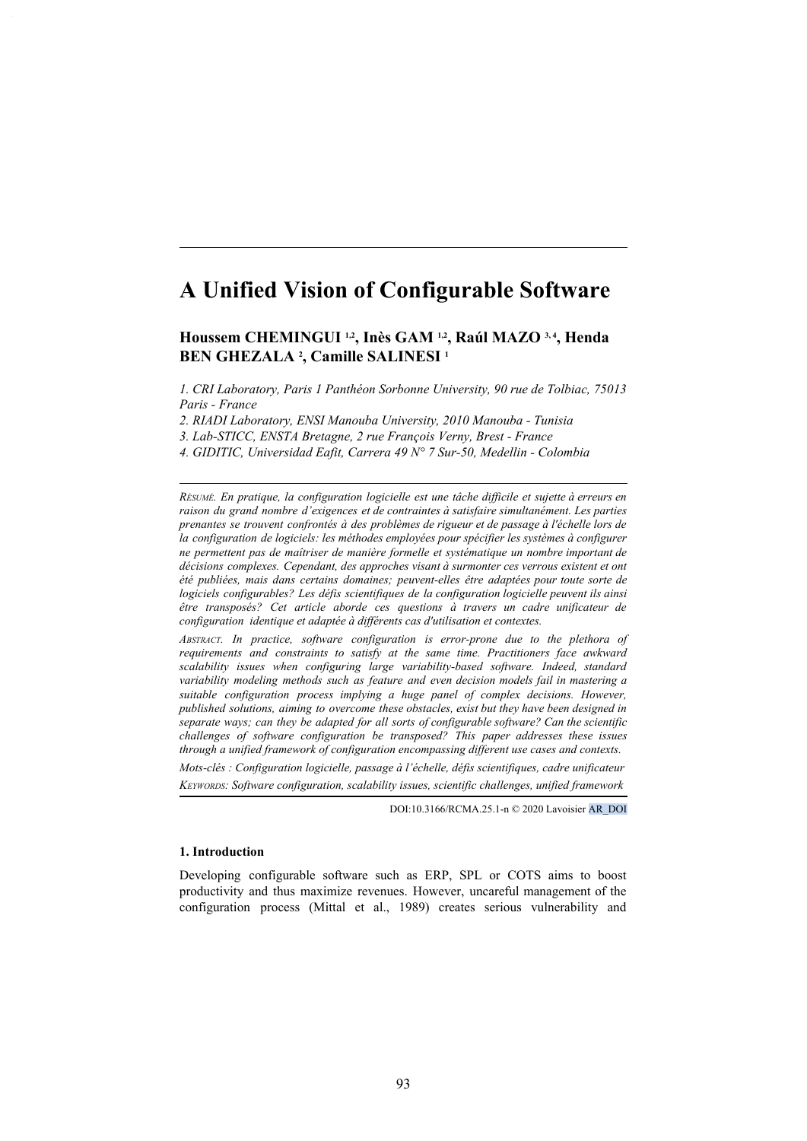# **A Unified Vision of Configurable Software**

# **Houssem CHEMINGUI 1,2, Inès GAM 1,2, Raúl MAZO 3, 4, Henda BEN GHEZALA 2 , Camille SALINESI 1**

*1. CRI Laboratory, Paris 1 Panthéon Sorbonne University, 90 rue de Tolbiac, 75013 Paris - France*

*2. RIADI Laboratory, ENSI Manouba University, 2010 Manouba - Tunisia*

*3. Lab-STICC, ENSTA Bretagne, 2 rue François Verny, Brest - France*

*4. GIDITIC, Universidad Eafit, Carrera 49 N° 7 Sur-50, Medellin - Colombia*

*RÉSUMÉ. En pratique, la configuration logicielle est une tâche difficile et sujette à erreurs en raison du grand nombre d'exigences et de contraintes à satisfaire simultanément. Les parties prenantes se trouvent confrontés à des problèmes de rigueur et de passage à l'échelle lors de la configuration de logiciels: les méthodes employées pour spécifier les systèmes à configurer ne permettent pas de maîtriser de manière formelle et systématique un nombre important de décisions complexes. Cependant, des approches visant à surmonter ces verrous existent et ont été publiées, mais dans certains domaines; peuvent-elles être adaptées pour toute sorte de logiciels configurables? Les défis scientifiques de la configuration logicielle peuvent ils ainsi être transposés? Cet article aborde ces questions à travers un cadre unificateur de configuration identique et adaptée à différents cas d'utilisation et contextes.*

*ABSTRACT. In practice, software configuration is error-prone due to the plethora of requirements and constraints to satisfy at the same time. Practitioners face awkward scalability issues when configuring large variability-based software. Indeed, standard variability modeling methods such as feature and even decision models fail in mastering a suitable configuration process implying a huge panel of complex decisions. However, published solutions, aiming to overcome these obstacles, exist but they have been designed in separate ways; can they be adapted for all sorts of configurable software? Can the scientific challenges of software configuration be transposed? This paper addresses these issues through a unified framework of configuration encompassing different use cases and contexts.*

*Mots-clés : Configuration logicielle, passage à l'échelle, défis scientifiques, cadre unificateur KEYWORDS: Software configuration, scalability issues, scientific challenges, unified framework*

DOI:10.3166/RCMA.25.1-n © 2020 Lavoisier AR\_DOI

## **1. Introduction**

Developing configurable software such as ERP, SPL or COTS aims to boost productivity and thus maximize revenues. However, uncareful management of the configuration process (Mittal et al., 1989) creates serious vulnerability and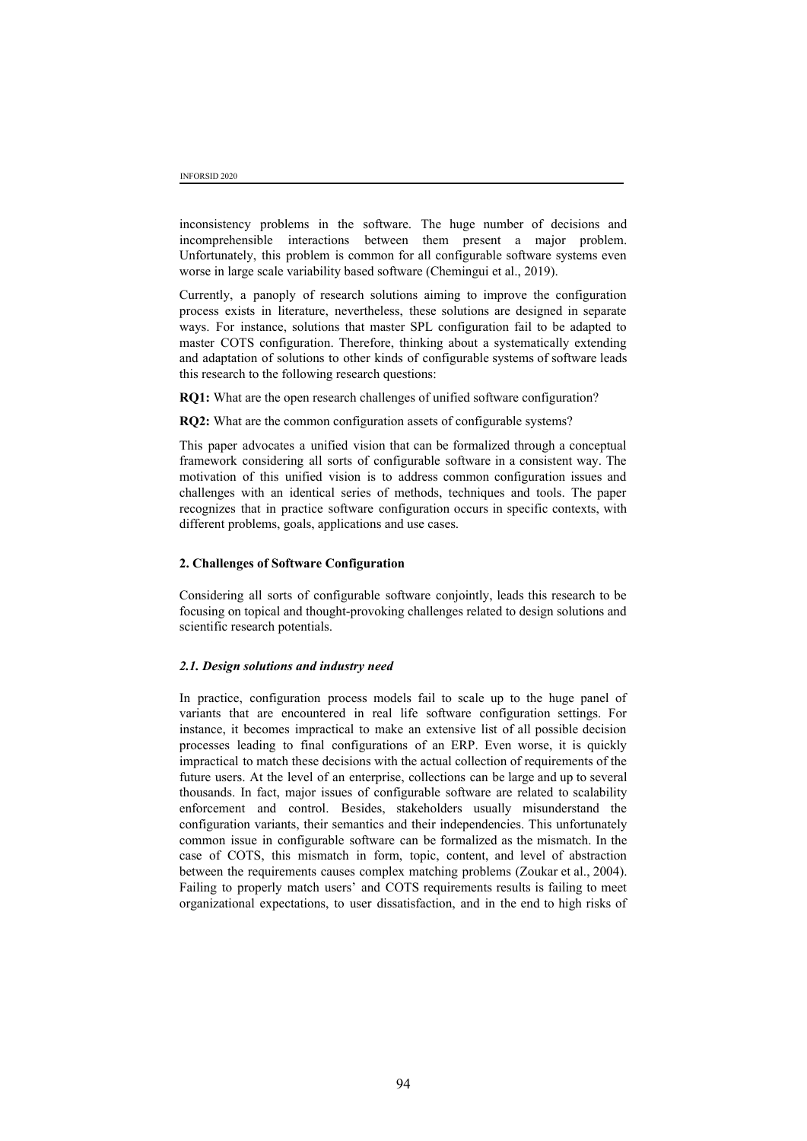inconsistency problems in the software. The huge number of decisions and incomprehensible interactions between them present a major problem. Unfortunately, this problem is common for all configurable software systems even worse in large scale variability based software (Chemingui et al., 2019).

Currently, a panoply of research solutions aiming to improve the configuration process exists in literature, nevertheless, these solutions are designed in separate ways. For instance, solutions that master SPL configuration fail to be adapted to master COTS configuration. Therefore, thinking about a systematically extending and adaptation of solutions to other kinds of configurable systems of software leads this research to the following research questions:

**RQ1:** What are the open research challenges of unified software configuration?

**RQ2:** What are the common configuration assets of configurable systems?

This paper advocates a unified vision that can be formalized through a conceptual framework considering all sorts of configurable software in a consistent way. The motivation of this unified vision is to address common configuration issues and challenges with an identical series of methods, techniques and tools. The paper recognizes that in practice software configuration occurs in specific contexts, with different problems, goals, applications and use cases.

#### **2. Challenges of Software Configuration**

Considering all sorts of configurable software conjointly, leads this research to be focusing on topical and thought-provoking challenges related to design solutions and scientific research potentials.

#### *2.1. Design solutions and industry need*

In practice, configuration process models fail to scale up to the huge panel of variants that are encountered in real life software configuration settings. For instance, it becomes impractical to make an extensive list of all possible decision processes leading to final configurations of an ERP. Even worse, it is quickly impractical to match these decisions with the actual collection of requirements of the future users. At the level of an enterprise, collections can be large and up to several thousands. In fact, major issues of configurable software are related to scalability enforcement and control. Besides, stakeholders usually misunderstand the configuration variants, their semantics and their independencies. This unfortunately common issue in configurable software can be formalized as the mismatch. In the case of COTS, this mismatch in form, topic, content, and level of abstraction between the requirements causes complex matching problems (Zoukar et al., 2004). Failing to properly match users' and COTS requirements results is failing to meet organizational expectations, to user dissatisfaction, and in the end to high risks of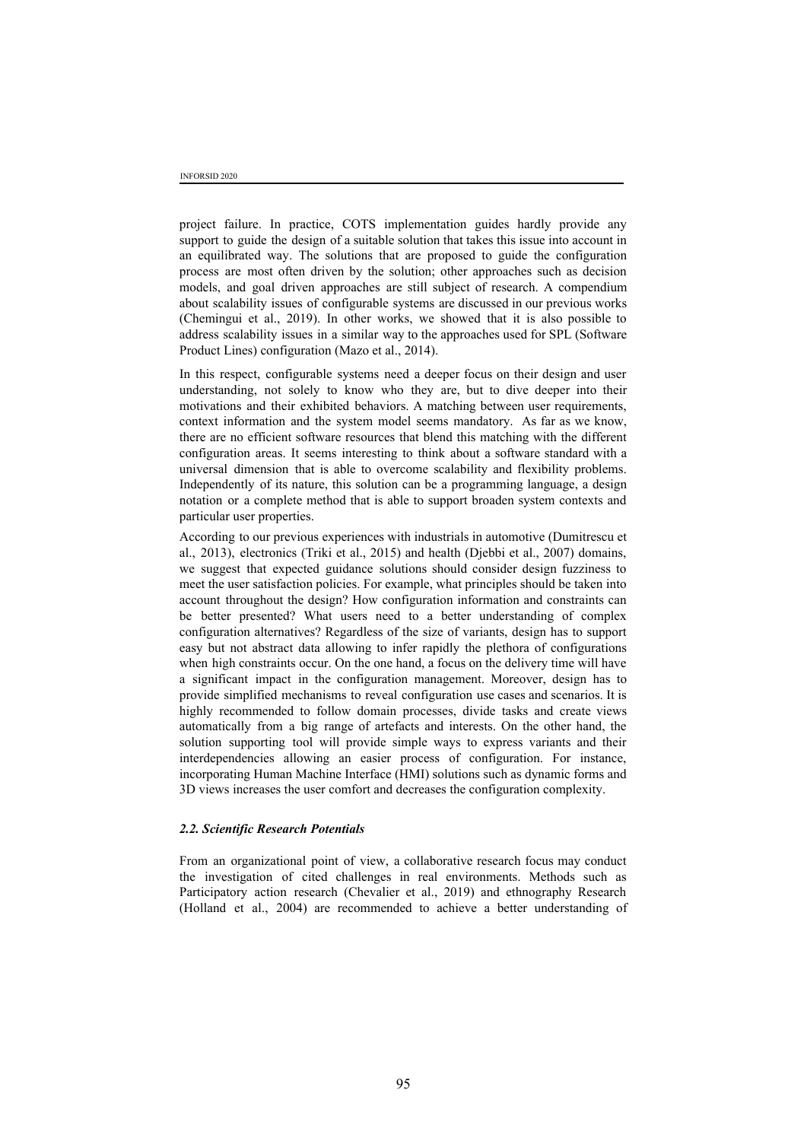project failure. In practice, COTS implementation guides hardly provide any support to guide the design of a suitable solution that takes this issue into account in an equilibrated way. The solutions that are proposed to guide the configuration process are most often driven by the solution; other approaches such as decision models, and goal driven approaches are still subject of research. A compendium about scalability issues of configurable systems are discussed in our previous works (Chemingui et al., 2019). In other works, we showed that it is also possible to address scalability issues in a similar way to the approaches used for SPL (Software Product Lines) configuration (Mazo et al., 2014).

In this respect, configurable systems need a deeper focus on their design and user understanding, not solely to know who they are, but to dive deeper into their motivations and their exhibited behaviors. A matching between user requirements, context information and the system model seems mandatory. As far as we know, there are no efficient software resources that blend this matching with the different configuration areas. It seems interesting to think about a software standard with a universal dimension that is able to overcome scalability and flexibility problems. Independently of its nature, this solution can be a programming language, a design notation or a complete method that is able to support broaden system contexts and particular user properties.

According to our previous experiences with industrials in automotive (Dumitrescu et al., 2013), electronics (Triki et al., 2015) and health (Djebbi et al., 2007) domains, we suggest that expected guidance solutions should consider design fuzziness to meet the user satisfaction policies. For example, what principles should be taken into account throughout the design? How configuration information and constraints can be better presented? What users need to a better understanding of complex configuration alternatives? Regardless of the size of variants, design has to support easy but not abstract data allowing to infer rapidly the plethora of configurations when high constraints occur. On the one hand, a focus on the delivery time will have a significant impact in the configuration management. Moreover, design has to provide simplified mechanisms to reveal configuration use cases and scenarios. It is highly recommended to follow domain processes, divide tasks and create views automatically from a big range of artefacts and interests. On the other hand, the solution supporting tool will provide simple ways to express variants and their interdependencies allowing an easier process of configuration. For instance, incorporating Human Machine Interface (HMI) solutions such as dynamic forms and 3D views increases the user comfort and decreases the configuration complexity.

#### *2.2. Scientific Research Potentials*

From an organizational point of view, a collaborative research focus may conduct the investigation of cited challenges in real environments. Methods such as Participatory action research (Chevalier et al., 2019) and ethnography Research (Holland et al., 2004) are recommended to achieve a better understanding of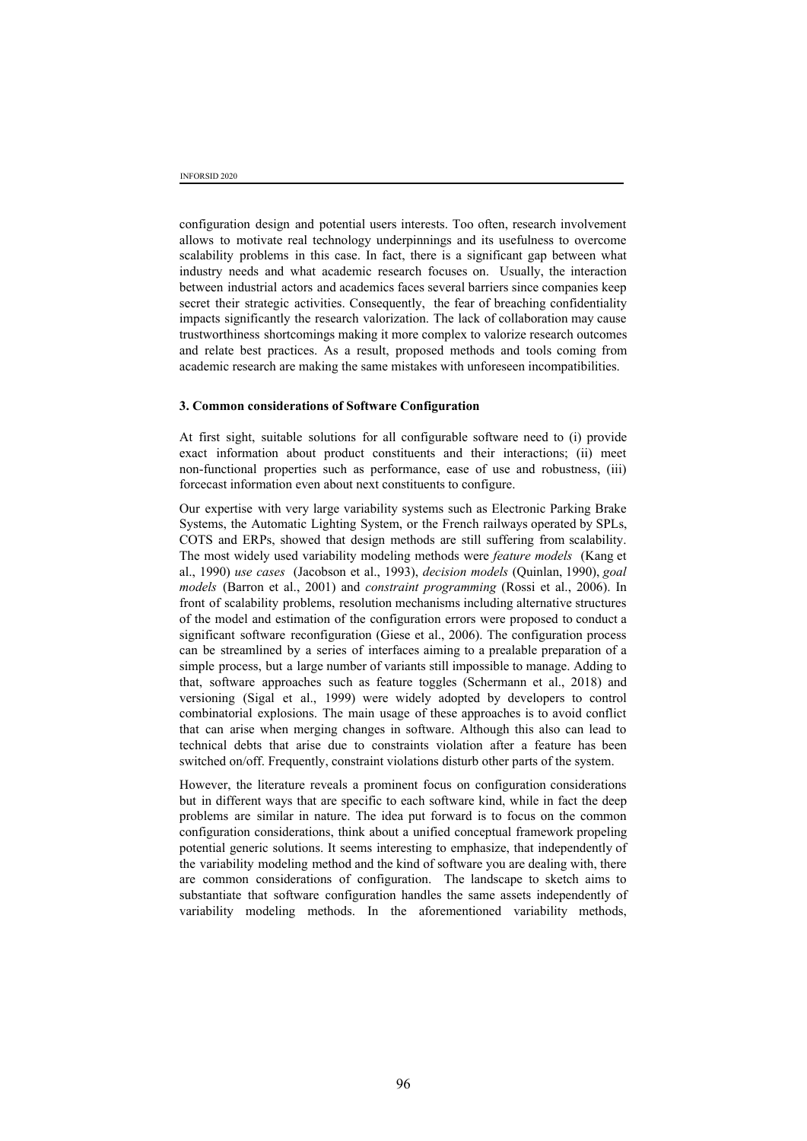configuration design and potential users interests. Too often, research involvement allows to motivate real technology underpinnings and its usefulness to overcome scalability problems in this case. In fact, there is a significant gap between what industry needs and what academic research focuses on. Usually, the interaction between industrial actors and academics faces several barriers since companies keep secret their strategic activities. Consequently, the fear of breaching confidentiality impacts significantly the research valorization. The lack of collaboration may cause trustworthiness shortcomings making it more complex to valorize research outcomes and relate best practices. As a result, proposed methods and tools coming from academic research are making the same mistakes with unforeseen incompatibilities.

#### **3. Common considerations of Software Configuration**

At first sight, suitable solutions for all configurable software need to (i) provide exact information about product constituents and their interactions; (ii) meet non-functional properties such as performance, ease of use and robustness, (iii) forcecast information even about next constituents to configure.

Our expertise with very large variability systems such as Electronic Parking Brake Systems, the Automatic Lighting System, or the French railways operated by SPLs, COTS and ERPs, showed that design methods are still suffering from scalability. The most widely used variability modeling methods were *feature models* (Kang et al., 1990) *use cases* (Jacobson et al., 1993), *decision models* (Quinlan, 1990), *goal models* (Barron et al., 2001) and *constraint programming* (Rossi et al., 2006). In front of scalability problems, resolution mechanisms including alternative structures of the model and estimation of the configuration errors were proposed to conduct a significant software reconfiguration (Giese et al., 2006). The configuration process can be streamlined by a series of interfaces aiming to a prealable preparation of a simple process, but a large number of variants still impossible to manage. Adding to that, software approaches such as feature toggles (Schermann et al., 2018) and versioning (Sigal et al., 1999) were widely adopted by developers to control combinatorial explosions. The main usage of these approaches is to avoid conflict that can arise when merging changes in software. Although this also can lead to technical debts that arise due to constraints violation after a feature has been switched on/off. Frequently, constraint violations disturb other parts of the system.

However, the literature reveals a prominent focus on configuration considerations but in different ways that are specific to each software kind, while in fact the deep problems are similar in nature. The idea put forward is to focus on the common configuration considerations, think about a unified conceptual framework propeling potential generic solutions. It seems interesting to emphasize, that independently of the variability modeling method and the kind of software you are dealing with, there are common considerations of configuration. The landscape to sketch aims to substantiate that software configuration handles the same assets independently of variability modeling methods. In the aforementioned variability methods,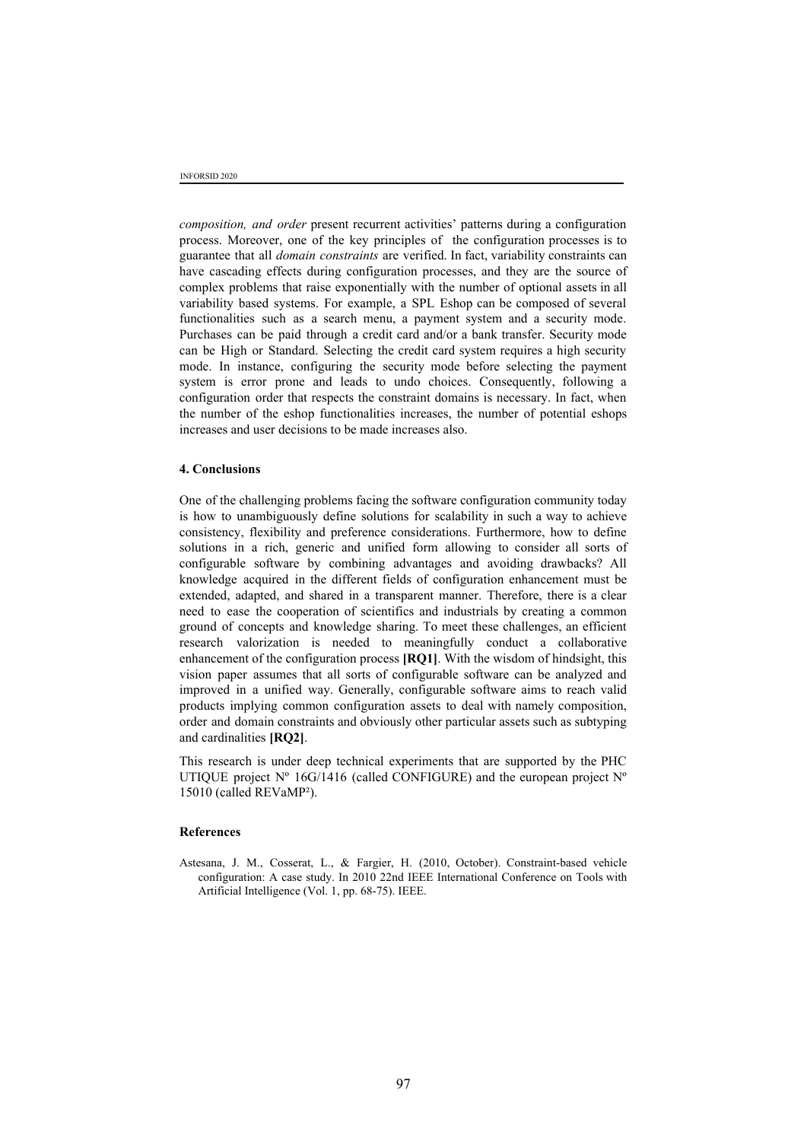*composition, and order* present recurrent activities' patterns during a configuration process. Moreover, one of the key principles of the configuration processes is to guarantee that all *domain constraints* are verified. In fact, variability constraints can have cascading effects during configuration processes, and they are the source of complex problems that raise exponentially with the number of optional assets in all variability based systems. For example, a SPL Eshop can be composed of several functionalities such as a search menu, a payment system and a security mode. Purchases can be paid through a credit card and/or a bank transfer. Security mode can be High or Standard. Selecting the credit card system requires a high security mode. In instance, configuring the security mode before selecting the payment system is error prone and leads to undo choices. Consequently, following a configuration order that respects the constraint domains is necessary. In fact, when the number of the eshop functionalities increases, the number of potential eshops increases and user decisions to be made increases also.

### **4. Conclusions**

One of the challenging problems facing the software configuration community today is how to unambiguously define solutions for scalability in such a way to achieve consistency, flexibility and preference considerations. Furthermore, how to define solutions in a rich, generic and unified form allowing to consider all sorts of configurable software by combining advantages and avoiding drawbacks? All knowledge acquired in the different fields of configuration enhancement must be extended, adapted, and shared in a transparent manner. Therefore, there is a clear need to ease the cooperation of scientifics and industrials by creating a common ground of concepts and knowledge sharing. To meet these challenges, an efficient research valorization is needed to meaningfully conduct a collaborative enhancement of the configuration process **[RQ1]**. With the wisdom of hindsight, this vision paper assumes that all sorts of configurable software can be analyzed and improved in a unified way. Generally, configurable software aims to reach valid products implying common configuration assets to deal with namely composition, order and domain constraints and obviously other particular assets such as subtyping and cardinalities **[RQ2]**.

This research is under deep technical experiments that are supported by the PHC UTIQUE project  $N^{\circ}$  16G/1416 (called CONFIGURE) and the european project  $N^{\circ}$ 15010 (called REVaMP²).

#### **References**

Astesana, J. M., Cosserat, L., & Fargier, H. (2010, October). Constraint-based vehicle configuration: A case study. In 2010 22nd IEEE International Conference on Tools with Artificial Intelligence (Vol. 1, pp. 68-75). IEEE.